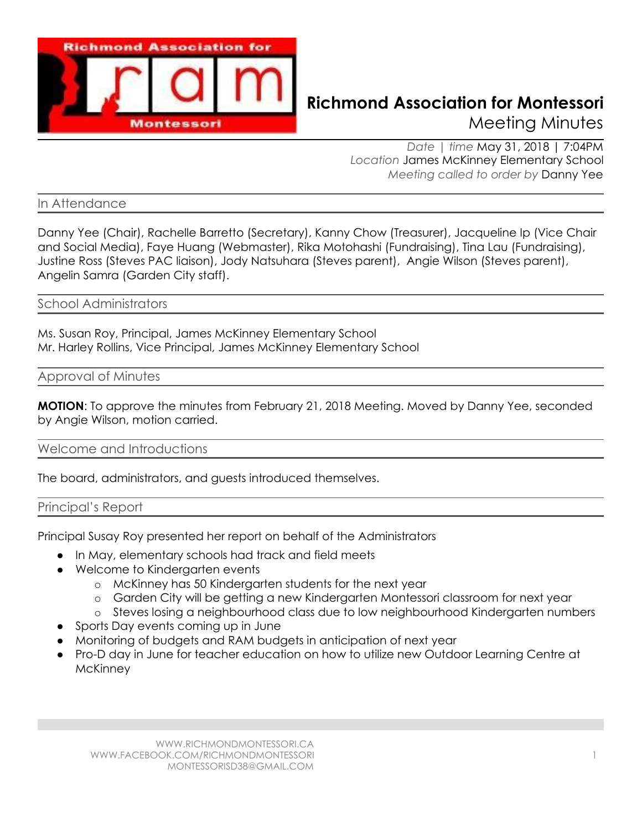

# **Richmond Association for Montessori** Meeting Minutes

*Date | time* May 31, 2018 | 7:04PM *Location* James McKinney Elementary School *Meeting called to order by* Danny Yee

In Attendance

Danny Yee (Chair), Rachelle Barretto (Secretary), Kanny Chow (Treasurer), Jacqueline Ip (Vice Chair and Social Media), Faye Huang (Webmaster), Rika Motohashi (Fundraising), Tina Lau (Fundraising), Justine Ross (Steves PAC liaison), Jody Natsuhara (Steves parent), Angie Wilson (Steves parent), Angelin Samra (Garden City staff).

School Administrators

Ms. Susan Roy, Principal, James McKinney Elementary School Mr. Harley Rollins, Vice Principal, James McKinney Elementary School

Approval of Minutes

**MOTION**: To approve the minutes from February 21, 2018 Meeting. Moved by Danny Yee, seconded by Angie Wilson, motion carried.

Welcome and Introductions

The board, administrators, and guests introduced themselves.

#### Principal's Report

Principal Susay Roy presented her report on behalf of the Administrators

- In May, elementary schools had track and field meets
- Welcome to Kindergarten events
	- o McKinney has 50 Kindergarten students for the next year
	- o Garden City will be getting a new Kindergarten Montessori classroom for next year
	- o Steves losing a neighbourhood class due to low neighbourhood Kindergarten numbers
- Sports Day events coming up in June
- Monitoring of budgets and RAM budgets in anticipation of next year
- Pro-D day in June for teacher education on how to utilize new Outdoor Learning Centre at **McKinney**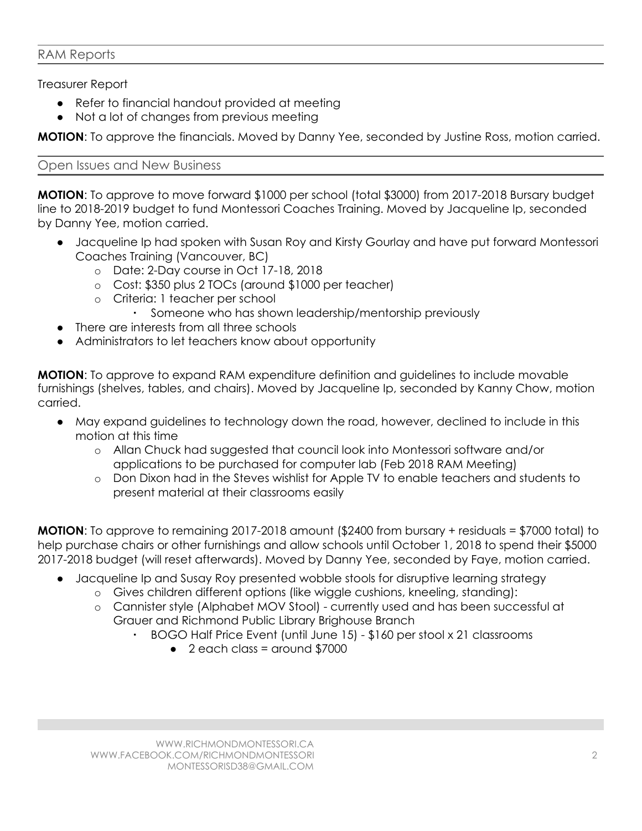### RAM Reports

Treasurer Report

- Refer to financial handout provided at meeting
- Not a lot of changes from previous meeting

**MOTION**: To approve the financials. Moved by Danny Yee, seconded by Justine Ross, motion carried.

#### Open Issues and New Business

**MOTION**: To approve to move forward \$1000 per school (total \$3000) from 2017-2018 Bursary budget line to 2018-2019 budget to fund Montessori Coaches Training. Moved by Jacqueline Ip, seconded by Danny Yee, motion carried.

- Jacqueline Ip had spoken with Susan Roy and Kirsty Gourlay and have put forward Montessori Coaches Training (Vancouver, BC)
	- o Date: 2-Day course in Oct 17-18, 2018
	- o Cost: \$350 plus 2 TOCs (around \$1000 per teacher)
	- o Criteria: 1 teacher per school
		- Someone who has shown leadership/mentorship previously
- There are interests from all three schools
- Administrators to let teachers know about opportunity

**MOTION**: To approve to expand RAM expenditure definition and guidelines to include movable furnishings (shelves, tables, and chairs). Moved by Jacqueline Ip, seconded by Kanny Chow, motion carried.

- May expand guidelines to technology down the road, however, declined to include in this motion at this time
	- o Allan Chuck had suggested that council look into Montessori software and/or applications to be purchased for computer lab (Feb 2018 RAM Meeting)
	- o Don Dixon had in the Steves wishlist for Apple TV to enable teachers and students to present material at their classrooms easily

**MOTION:** To approve to remaining 2017-2018 amount (\$2400 from bursary + residuals = \$7000 total) to help purchase chairs or other furnishings and allow schools until October 1, 2018 to spend their \$5000 2017-2018 budget (will reset afterwards). Moved by Danny Yee, seconded by Faye, motion carried.

- Jacqueline Ip and Susay Roy presented wobble stools for disruptive learning strategy
	- o Gives children different options (like wiggle cushions, kneeling, standing):
	- o Cannister style (Alphabet MOV Stool) currently used and has been successful at Grauer and Richmond Public Library Brighouse Branch
		- BOGO Half Price Event (until June 15) \$160 per stool x 21 classrooms
			- $\bullet$  2 each class = around \$7000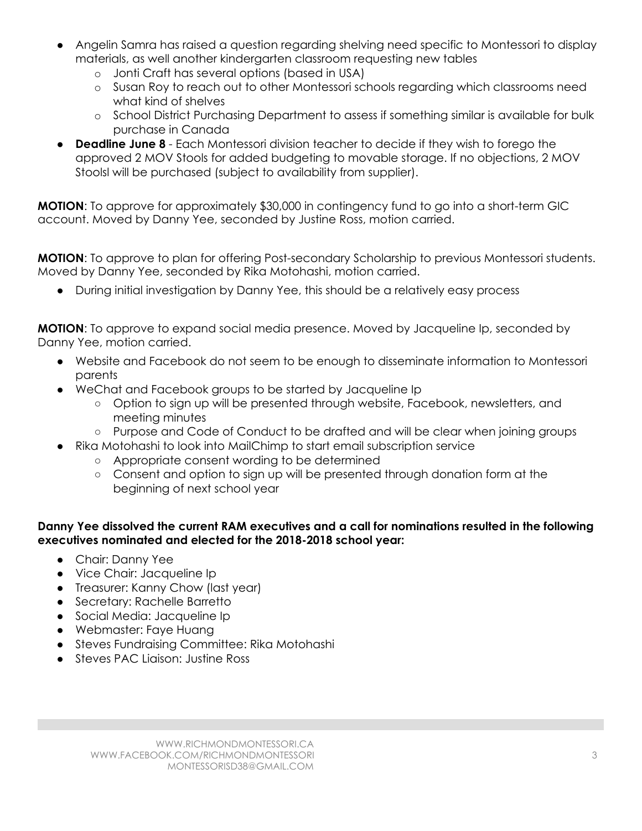- Angelin Samra has raised a question regarding shelving need specific to Montessori to display materials, as well another kindergarten classroom requesting new tables
	- o Jonti Craft has several options (based in USA)
	- o Susan Roy to reach out to other Montessori schools regarding which classrooms need what kind of shelves
	- o School District Purchasing Department to assess if something similar is available for bulk purchase in Canada
- **Deadline June 8** Each Montessori division teacher to decide if they wish to forego the approved 2 MOV Stools for added budgeting to movable storage. If no objections, 2 MOV Stoolsl will be purchased (subject to availability from supplier).

**MOTION**: To approve for approximately \$30,000 in contingency fund to go into a short-term GIC account. Moved by Danny Yee, seconded by Justine Ross, motion carried.

**MOTION**: To approve to plan for offering Post-secondary Scholarship to previous Montessori students. Moved by Danny Yee, seconded by Rika Motohashi, motion carried.

● During initial investigation by Danny Yee, this should be a relatively easy process

**MOTION**: To approve to expand social media presence. Moved by Jacqueline Ip, seconded by Danny Yee, motion carried.

- Website and Facebook do not seem to be enough to disseminate information to Montessori parents
- WeChat and Facebook groups to be started by Jacqueline Ip
	- Option to sign up will be presented through website, Facebook, newsletters, and meeting minutes
	- Purpose and Code of Conduct to be drafted and will be clear when joining groups
	- Rika Motohashi to look into MailChimp to start email subscription service
		- Appropriate consent wording to be determined
		- Consent and option to sign up will be presented through donation form at the beginning of next school year

#### **Danny Yee dissolved the current RAM executives and a call for nominations resulted in the following executives nominated and elected for the 2018-2018 school year:**

- Chair: Danny Yee
- Vice Chair: Jacqueline Ip
- Treasurer: Kanny Chow (last year)
- Secretary: Rachelle Barretto
- Social Media: Jacqueline Ip
- Webmaster: Faye Huang
- Steves Fundraising Committee: Rika Motohashi
- Steves PAC Liaison: Justine Ross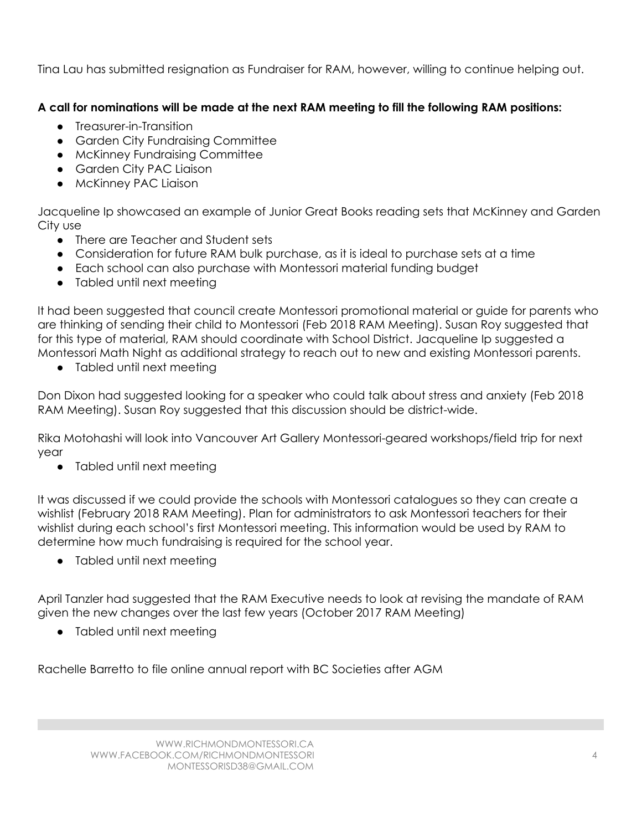Tina Lau has submitted resignation as Fundraiser for RAM, however, willing to continue helping out.

## **A call for nominations will be made at the next RAM meeting to fill the following RAM positions:**

- Treasurer-in-Transition
- Garden City Fundraising Committee
- McKinney Fundraising Committee
- Garden City PAC Liaison
- McKinney PAC Liaison

Jacqueline Ip showcased an example of Junior Great Books reading sets that McKinney and Garden City use

- There are Teacher and Student sets
- Consideration for future RAM bulk purchase, as it is ideal to purchase sets at a time
- Each school can also purchase with Montessori material funding budget
- Tabled until next meeting

It had been suggested that council create Montessori promotional material or guide for parents who are thinking of sending their child to Montessori (Feb 2018 RAM Meeting). Susan Roy suggested that for this type of material, RAM should coordinate with School District. Jacqueline Ip suggested a Montessori Math Night as additional strategy to reach out to new and existing Montessori parents.

• Tabled until next meeting

Don Dixon had suggested looking for a speaker who could talk about stress and anxiety (Feb 2018 RAM Meeting). Susan Roy suggested that this discussion should be district-wide.

Rika Motohashi will look into Vancouver Art Gallery Montessori-geared workshops/field trip for next year

● Tabled until next meeting

It was discussed if we could provide the schools with Montessori catalogues so they can create a wishlist (February 2018 RAM Meeting). Plan for administrators to ask Montessori teachers for their wishlist during each school's first Montessori meeting. This information would be used by RAM to determine how much fundraising is required for the school year.

● Tabled until next meeting

April Tanzler had suggested that the RAM Executive needs to look at revising the mandate of RAM given the new changes over the last few years (October 2017 RAM Meeting)

• Tabled until next meeting

Rachelle Barretto to file online annual report with BC Societies after AGM